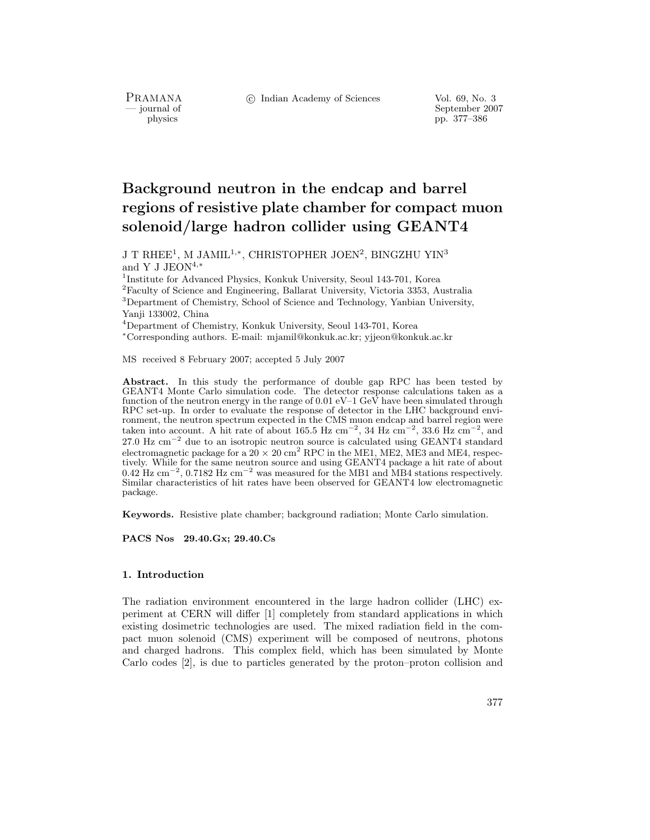c Indian Academy of Sciences Vol. 69, No. 3

PRAMANA<br>— journal of

where the september 2007<br>by sites that the september 2007<br>physics the september 2007 physics pp. 377–386

# **Background neutron in the endcap and barrel regions of resistive plate chamber for compact muon solenoid/large hadron collider using GEANT4**

J T RHEE<sup>1</sup>, M JAMIL<sup>1,∗</sup>, CHRISTOPHER JOEN<sup>2</sup>, BINGZHU YIN<sup>3</sup> and Y J JEON<sup>4,\*</sup>

<sup>1</sup>Institute for Advanced Physics, Konkuk University, Seoul 143-701, Korea  $^{2}$  Faculty of Science and Engineering, Ballarat University, Victoria 3353, Australia <sup>3</sup>Department of Chemistry, School of Science and Technology, Yanbian University, Yanji 133002, China

<sup>4</sup>Department of Chemistry, Konkuk University, Seoul 143-701, Korea

<sup>∗</sup>Corresponding authors. E-mail: mjamil@konkuk.ac.kr; yjjeon@konkuk.ac.kr

MS received 8 February 2007; accepted 5 July 2007

**Abstract.** In this study the performance of double gap RPC has been tested by GEANT4 Monte Carlo simulation code. The detector response calculations taken as a function of the neutron energy in the range of  $0.01$  eV–1 GeV have been simulated through RPC set-up. In order to evaluate the response of detector in the LHC background environment, the neutron spectrum expected in the CMS muon endcap and barrel region were taken into account. A hit rate of about 165.5 Hz cm<sup>-2</sup>, 34 Hz cm<sup>-2</sup>, 33.6 Hz cm<sup>-2</sup>, and 27.0 Hz cm−<sup>2</sup> due to an isotropic neutron source is calculated using GEANT4 standard electromagnetic package for a  $20 \times 20$  cm<sup>2</sup> RPC in the ME1, ME2, ME3 and ME4, respectively. While for the same neutron source and using GEANT4 package a hit rate of about  $0.42 \text{ Hz cm}^{-2}$ ,  $0.7182 \text{ Hz cm}^{-2}$  was measured for the MB1 and MB4 stations respectively. Similar characteristics of hit rates have been observed for GEANT4 low electromagnetic package.

**Keywords.** Resistive plate chamber; background radiation; Monte Carlo simulation.

**PACS Nos 29.40.Gx; 29.40.Cs**

# **1. Introduction**

The radiation environment encountered in the large hadron collider (LHC) experiment at CERN will differ [1] completely from standard applications in which existing dosimetric technologies are used. The mixed radiation field in the compact muon solenoid (CMS) experiment will be composed of neutrons, photons and charged hadrons. This complex field, which has been simulated by Monte Carlo codes [2], is due to particles generated by the proton–proton collision and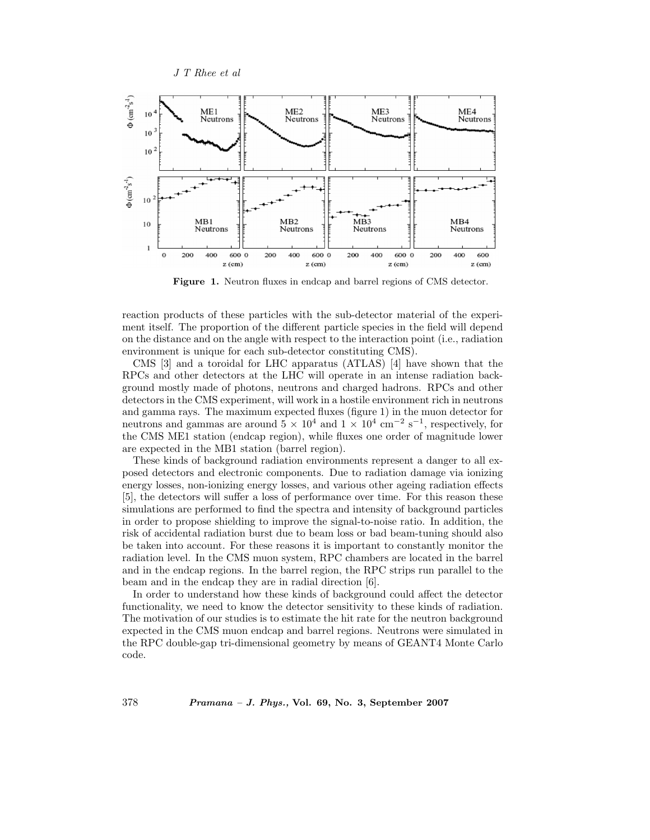



**Figure 1.** Neutron fluxes in endcap and barrel regions of CMS detector.

reaction products of these particles with the sub-detector material of the experiment itself. The proportion of the different particle species in the field will depend on the distance and on the angle with respect to the interaction point (i.e., radiation environment is unique for each sub-detector constituting CMS).

CMS [3] and a toroidal for LHC apparatus (ATLAS) [4] have shown that the RPCs and other detectors at the LHC will operate in an intense radiation background mostly made of photons, neutrons and charged hadrons. RPCs and other detectors in the CMS experiment, will work in a hostile environment rich in neutrons and gamma rays. The maximum expected fluxes (figure 1) in the muon detector for neutrons and gammas are around  $5 \times 10^4$  and  $1 \times 10^4$  cm<sup>-2</sup> s<sup>-1</sup>, respectively, for the CMS ME1 station (endcap region), while fluxes one order of magnitude lower are expected in the MB1 station (barrel region).

These kinds of background radiation environments represent a danger to all exposed detectors and electronic components. Due to radiation damage via ionizing energy losses, non-ionizing energy losses, and various other ageing radiation effects [5], the detectors will suffer a loss of performance over time. For this reason these simulations are performed to find the spectra and intensity of background particles in order to propose shielding to improve the signal-to-noise ratio. In addition, the risk of accidental radiation burst due to beam loss or bad beam-tuning should also be taken into account. For these reasons it is important to constantly monitor the radiation level. In the CMS muon system, RPC chambers are located in the barrel and in the endcap regions. In the barrel region, the RPC strips run parallel to the beam and in the endcap they are in radial direction [6].

In order to understand how these kinds of background could affect the detector functionality, we need to know the detector sensitivity to these kinds of radiation. The motivation of our studies is to estimate the hit rate for the neutron background expected in the CMS muon endcap and barrel regions. Neutrons were simulated in the RPC double-gap tri-dimensional geometry by means of GEANT4 Monte Carlo code.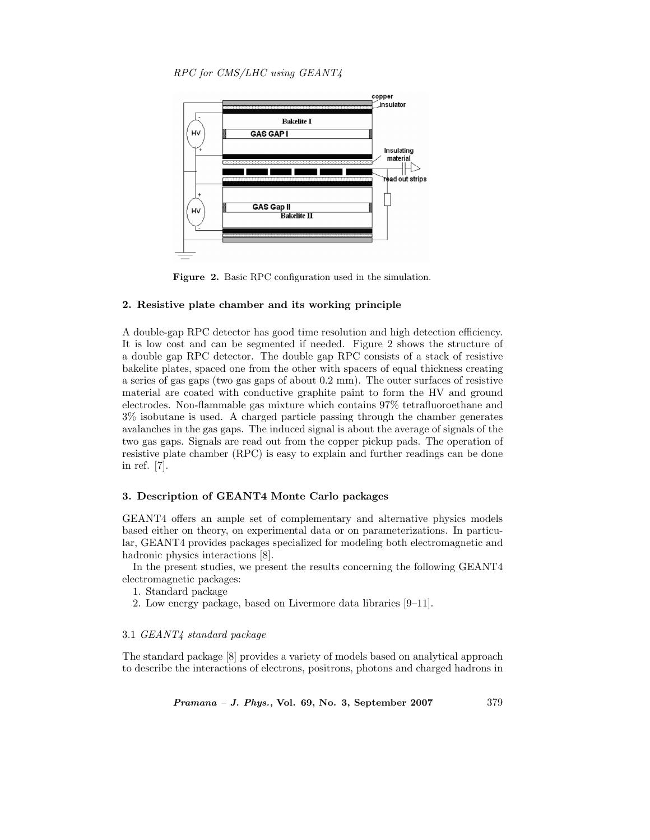*RPC for CMS/LHC using GEANT4*



**Figure 2.** Basic RPC configuration used in the simulation.

## **2. Resistive plate chamber and its working principle**

A double-gap RPC detector has good time resolution and high detection efficiency. It is low cost and can be segmented if needed. Figure 2 shows the structure of a double gap RPC detector. The double gap RPC consists of a stack of resistive bakelite plates, spaced one from the other with spacers of equal thickness creating a series of gas gaps (two gas gaps of about 0.2 mm). The outer surfaces of resistive material are coated with conductive graphite paint to form the HV and ground electrodes. Non-flammable gas mixture which contains 97% tetrafluoroethane and 3% isobutane is used. A charged particle passing through the chamber generates avalanches in the gas gaps. The induced signal is about the average of signals of the two gas gaps. Signals are read out from the copper pickup pads. The operation of resistive plate chamber (RPC) is easy to explain and further readings can be done in ref. [7].

## **3. Description of GEANT4 Monte Carlo packages**

GEANT4 offers an ample set of complementary and alternative physics models based either on theory, on experimental data or on parameterizations. In particular, GEANT4 provides packages specialized for modeling both electromagnetic and hadronic physics interactions [8].

In the present studies, we present the results concerning the following GEANT4 electromagnetic packages:

- 1. Standard package
- 2. Low energy package, based on Livermore data libraries [9–11].

## 3.1 *GEANT4 standard package*

The standard package [8] provides a variety of models based on analytical approach to describe the interactions of electrons, positrons, photons and charged hadrons in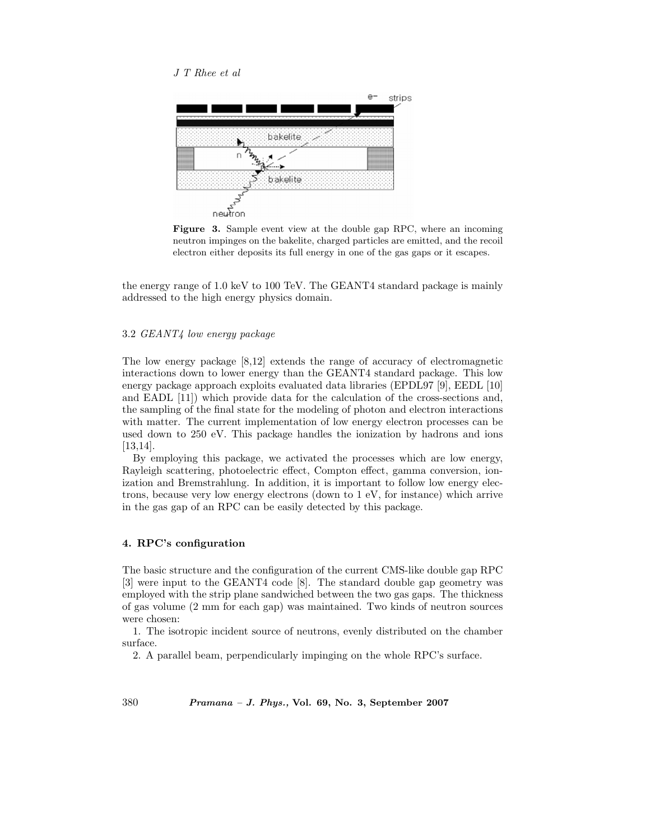# *J T Rhee et al*



**Figure 3.** Sample event view at the double gap RPC, where an incoming neutron impinges on the bakelite, charged particles are emitted, and the recoil electron either deposits its full energy in one of the gas gaps or it escapes.

the energy range of 1.0 keV to 100 TeV. The GEANT4 standard package is mainly addressed to the high energy physics domain.

# 3.2 *GEANT4 low energy package*

The low energy package [8,12] extends the range of accuracy of electromagnetic interactions down to lower energy than the GEANT4 standard package. This low energy package approach exploits evaluated data libraries (EPDL97 [9], EEDL [10] and EADL [11]) which provide data for the calculation of the cross-sections and, the sampling of the final state for the modeling of photon and electron interactions with matter. The current implementation of low energy electron processes can be used down to 250 eV. This package handles the ionization by hadrons and ions [13,14].

By employing this package, we activated the processes which are low energy, Rayleigh scattering, photoelectric effect, Compton effect, gamma conversion, ionization and Bremstrahlung. In addition, it is important to follow low energy electrons, because very low energy electrons (down to 1 eV, for instance) which arrive in the gas gap of an RPC can be easily detected by this package.

# **4. RPC's configuration**

The basic structure and the configuration of the current CMS-like double gap RPC [3] were input to the GEANT4 code [8]. The standard double gap geometry was employed with the strip plane sandwiched between the two gas gaps. The thickness of gas volume (2 mm for each gap) was maintained. Two kinds of neutron sources were chosen:

1. The isotropic incident source of neutrons, evenly distributed on the chamber surface.

2. A parallel beam, perpendicularly impinging on the whole RPC's surface.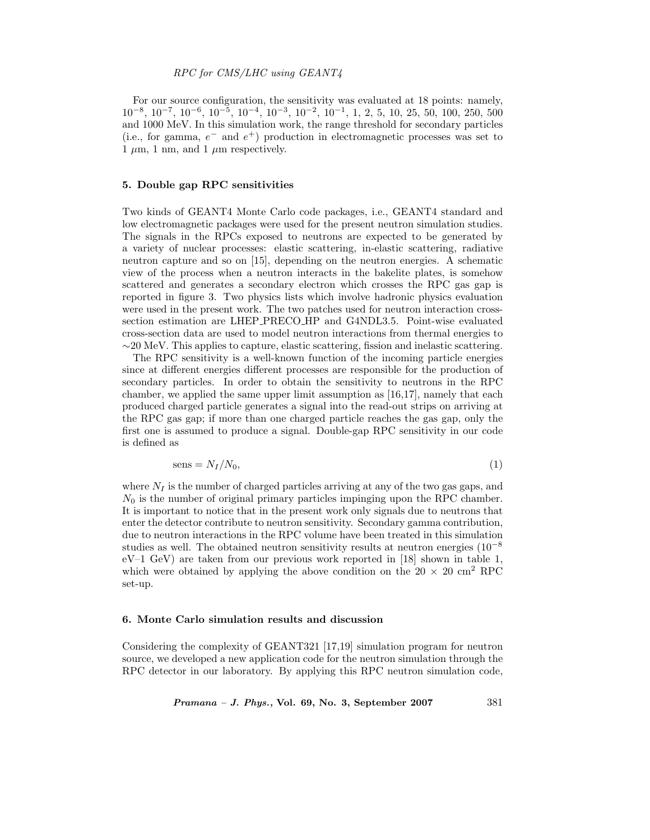## *RPC for CMS/LHC using GEANT4*

For our source configuration, the sensitivity was evaluated at 18 points: namely, 10−8, 10−7, 10−6, 10−5, 10−4, 10−3, 10−2, 10−1, 1, 2, 5, 10, 25, 50, 100, 250, 500 and 1000 MeV. In this simulation work, the range threshold for secondary particles (i.e., for gamma,  $e^-$  and  $e^+$ ) production in electromagnetic processes was set to  $1 \mu m$ , 1 nm, and  $1 \mu m$  respectively.

#### **5. Double gap RPC sensitivities**

Two kinds of GEANT4 Monte Carlo code packages, i.e., GEANT4 standard and low electromagnetic packages were used for the present neutron simulation studies. The signals in the RPCs exposed to neutrons are expected to be generated by a variety of nuclear processes: elastic scattering, in-elastic scattering, radiative neutron capture and so on [15], depending on the neutron energies. A schematic view of the process when a neutron interacts in the bakelite plates, is somehow scattered and generates a secondary electron which crosses the RPC gas gap is reported in figure 3. Two physics lists which involve hadronic physics evaluation were used in the present work. The two patches used for neutron interaction crosssection estimation are LHEP PRECO HP and G4NDL3.5. Point-wise evaluated cross-section data are used to model neutron interactions from thermal energies to  $\sim$ 20 MeV. This applies to capture, elastic scattering, fission and inelastic scattering.

The RPC sensitivity is a well-known function of the incoming particle energies since at different energies different processes are responsible for the production of secondary particles. In order to obtain the sensitivity to neutrons in the RPC chamber, we applied the same upper limit assumption as [16,17], namely that each produced charged particle generates a signal into the read-out strips on arriving at the RPC gas gap; if more than one charged particle reaches the gas gap, only the first one is assumed to produce a signal. Double-gap RPC sensitivity in our code is defined as

$$
sens = N_I/N_0,\tag{1}
$$

where  $N_I$  is the number of charged particles arriving at any of the two gas gaps, and  $N_0$  is the number of original primary particles impinging upon the RPC chamber. It is important to notice that in the present work only signals due to neutrons that enter the detector contribute to neutron sensitivity. Secondary gamma contribution, due to neutron interactions in the RPC volume have been treated in this simulation studies as well. The obtained neutron sensitivity results at neutron energies  $(10^{-8}$ eV–1 GeV) are taken from our previous work reported in [18] shown in table 1, which were obtained by applying the above condition on the  $20 \times 20 \text{ cm}^2$  RPC set-up.

## **6. Monte Carlo simulation results and discussion**

Considering the complexity of GEANT321 [17,19] simulation program for neutron source, we developed a new application code for the neutron simulation through the RPC detector in our laboratory. By applying this RPC neutron simulation code,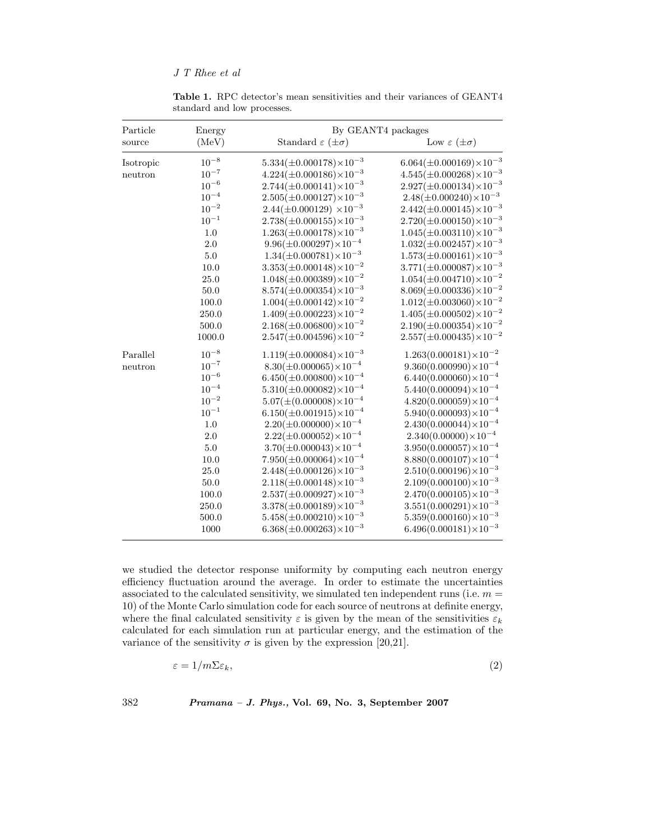# *J T Rhee et al*

| Particle  | Energy      | By GEANT4 packages                      |                                          |  |  |  |
|-----------|-------------|-----------------------------------------|------------------------------------------|--|--|--|
| source    | (MeV)       | Standard $\varepsilon$ ( $\pm \sigma$ ) | Low $\varepsilon$ $(\pm \sigma)$         |  |  |  |
| Isotropic | $10^{-8}$   | $5.334(\pm 0.000178)\times 10^{-3}$     | $6.064(\pm 0.000169)\times 10^{-3}$      |  |  |  |
| neutron   | $10^{-7}\,$ | $4.224(\pm 0.000186)\times 10^{-3}$     | $4.545(\pm 0.000268)\times 10^{-3}$      |  |  |  |
|           | $10^{-6}$   | $2.744(\pm 0.000141)\times 10^{-3}$     | $2.927(\pm 0.000134)\times 10^{-3}$      |  |  |  |
|           | $10^{-4}$   | $2.505(\pm 0.000127)\times 10^{-3}$     | $2.48(\pm 0.000240)\times 10^{-3}$       |  |  |  |
|           | $10^{-2}$   | $2.44(\pm 0.000129) \times 10^{-3}$     | $2.442(\pm 0.000145)\times 10^{-3}$      |  |  |  |
|           | $10^{-1}$   | $2.738(\pm 0.000155)\times 10^{-3}$     | $2.720(\pm 0.000150)\times 10^{-3}$      |  |  |  |
|           | 1.0         | $1.263(\pm 0.000178)\times 10^{-3}$     | $1.045(\pm 0.003110)\times 10^{-3}$      |  |  |  |
|           | 2.0         | $9.96(\pm 0.000297)\times 10^{-4}$      | $1.032(\pm 0.002457)\times 10^{-3}$      |  |  |  |
|           | $5.0\,$     | $1.34(\pm 0.000781)\times 10^{-3}$      | $1.573(\pm 0.000161)\times 10^{-3}$      |  |  |  |
|           | 10.0        | $3.353(\pm 0.000148)\times 10^{-2}$     | $3.771(\pm 0.000087)\times 10^{-3}$      |  |  |  |
|           | 25.0        | $1.048(\pm 0.000389)\times 10^{-2}$     | $1.054 (\pm 0.004710) \!\times\!10^{-2}$ |  |  |  |
|           | 50.0        | $8.574(\pm 0.000354)\times 10^{-3}$     | $8.069 (\pm 0.000336) \!\times\!10^{-2}$ |  |  |  |
|           | 100.0       | $1.004(\pm 0.000142)\times 10^{-2}$     | $1.012(\pm 0.003060)\times 10^{-2}$      |  |  |  |
|           | 250.0       | $1.409(\pm 0.000223)\times 10^{-2}$     | $1.405(\pm 0.000502)\times 10^{-2}$      |  |  |  |
|           | 500.0       | $2.168(\pm 0.006800)\times 10^{-2}$     | $2.190(\pm 0.000354)\times 10^{-2}$      |  |  |  |
|           | 1000.0      | $2.547(\pm 0.004596)\times 10^{-2}$     | $2.557(\pm 0.000435)\times 10^{-2}$      |  |  |  |
| Parallel  | $10^{-8}$   | $1.119(\pm 0.000084)\times 10^{-3}$     | $1.263(0.000181)\times10^{-2}$           |  |  |  |
| neutron   | $10^{-7}$   | $8.30(\pm 0.000065)\times 10^{-4}$      | $9.360(0.000990)\times10^{-4}$           |  |  |  |
|           | $10^{-6}$   | $6.450(\pm 0.000800)\times 10^{-4}$     | $6.440(0.000060)\times10^{-4}$           |  |  |  |
|           | $10^{-4}$   | $5.310(\pm 0.000082)\times 10^{-4}$     | $5.440(0.000094)\times10^{-4}$           |  |  |  |
|           | $10^{-2}$   | $5.07(\pm(0.000008)\times10^{-4}$       | $4.820(0.000059)\times10^{-4}$           |  |  |  |
|           | $10^{-1}$   | $6.150(\pm 0.001915)\times 10^{-4}$     | $5.940(0.000093)\times10^{-4}$           |  |  |  |
|           | 1.0         | $2.20(\pm 0.000000)\times 10^{-4}$      | $2.430(0.000044)\times10^{-4}$           |  |  |  |
|           | 2.0         | $2.22(\pm 0.000052)\times 10^{-4}$      | $2.340(0.00000)\times10^{-4}$            |  |  |  |
|           | 5.0         | $3.70(\pm 0.000043)\times 10^{-4}$      | $3.950(0.000057)\times10^{-4}$           |  |  |  |
|           | 10.0        | $7.950(\pm 0.000064) \times 10^{-4}$    | $8.880(0.000107)\times10^{-4}$           |  |  |  |
|           | 25.0        | $2.448(\pm 0.000126)\times 10^{-3}$     | $2.510(0.000196)\times10^{-3}$           |  |  |  |
|           | $50.0\,$    | $2.118(\pm 0.000148)\times 10^{-3}$     | $2.109(0.000100)\times10^{-3}$           |  |  |  |
|           | 100.0       | $2.537(\pm 0.000927)\times 10^{-3}$     | $2.470(0.000105)\times10^{-3}$           |  |  |  |
|           | 250.0       | $3.378(\pm 0.000189)\times 10^{-3}$     | $3.551(0.000291)\times10^{-3}$           |  |  |  |
|           | 500.0       | $5.458(\pm 0.000210)\times 10^{-3}$     | $5.359(0.000160)\times10^{-3}$           |  |  |  |
|           | 1000        | $6.368(\pm0.000263)\times10^{-3}$       | $6.496(0.000181)\times10^{-3}$           |  |  |  |

**Table 1.** RPC detector's mean sensitivities and their variances of GEANT4 standard and low processes.

we studied the detector response uniformity by computing each neutron energy efficiency fluctuation around the average. In order to estimate the uncertainties associated to the calculated sensitivity, we simulated ten independent runs (i.e.  $m =$ 10) of the Monte Carlo simulation code for each source of neutrons at definite energy, where the final calculated sensitivity  $\varepsilon$  is given by the mean of the sensitivities  $\varepsilon_k$ calculated for each simulation run at particular energy, and the estimation of the variance of the sensitivity  $\sigma$  is given by the expression [20,21].

$$
\varepsilon = 1/m\Sigma\varepsilon_k,\tag{2}
$$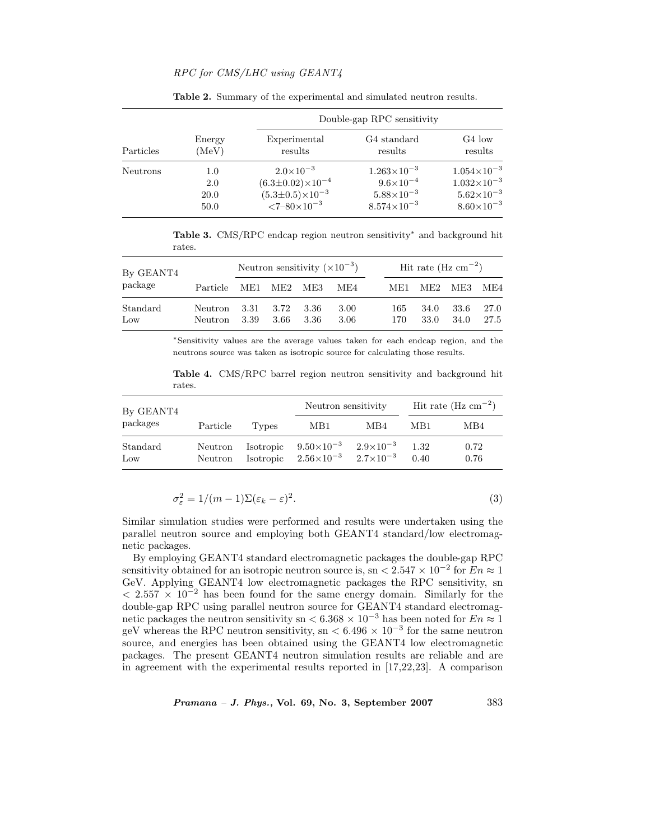## *RPC for CMS/LHC using GEANT4*

| Particles       |                            | Double-gap RPC sensitivity                                                                                            |                                                                                             |                                                                                            |  |  |
|-----------------|----------------------------|-----------------------------------------------------------------------------------------------------------------------|---------------------------------------------------------------------------------------------|--------------------------------------------------------------------------------------------|--|--|
|                 | Energy<br>(MeV)            | Experimental<br>results                                                                                               | G4 standard<br>results                                                                      | G <sub>4</sub> low<br>results                                                              |  |  |
| <b>Neutrons</b> | 1.0<br>2.0<br>20.0<br>50.0 | $2.0\times10^{-3}$<br>$(6.3 \pm 0.02) \times 10^{-4}$<br>$(5.3 \pm 0.5) \times 10^{-3}$<br>${<}7{-}80{\times}10^{-3}$ | $1.263\times10^{-3}$<br>$9.6\times10^{-4}$<br>$5.88 \times 10^{-3}$<br>$8.574\times10^{-3}$ | $1.054\times10^{-3}$<br>$1.032\times10^{-3}$<br>$5.62\times10^{-3}$<br>$8.60\times10^{-3}$ |  |  |

**Table 2.** Summary of the experimental and simulated neutron results.

**Table 3.** CMS/RPC endcap region neutron sensitivity<sup>∗</sup> and background hit rates.

| By GEANT4<br>package |                                   | Neutron sensitivity $(\times 10^{-3})$ |        |                | Hit rate (Hz $\rm cm^{-2}$ ) |            |              |              |              |
|----------------------|-----------------------------------|----------------------------------------|--------|----------------|------------------------------|------------|--------------|--------------|--------------|
|                      | Particle ME1 ME2 ME3              |                                        |        |                | ME4                          | ME1.       | ME2          | ME3          | MF4          |
| Standard<br>Low      | Neutron 3.31 3.72<br>Neutron 3.39 |                                        | - 3.66 | -3.36<br>-3.36 | 3.00<br>3.06                 | 165<br>170 | 34.0<br>33.0 | 33.6<br>34.0 | 27.0<br>27.5 |

∗Sensitivity values are the average values taken for each endcap region, and the neutrons source was taken as isotropic source for calculating those results.

**Table 4.** CMS/RPC barrel region neutron sensitivity and background hit rates.

| By GEANT4       |                    |                        | Neutron sensitivity                                           |                    | Hit rate (Hz $\rm cm^{-2}$ ) |              |  |
|-----------------|--------------------|------------------------|---------------------------------------------------------------|--------------------|------------------------------|--------------|--|
| packages        | Particle           | Types                  | MB1                                                           | MB4                | MB1                          | MB4          |  |
| Standard<br>Low | Neutron<br>Neutron | Isotropic<br>Isotropic | $9.50\times10^{-3}$<br>$2.56\times10^{-3}$ $2.7\times10^{-3}$ | $2.9\times10^{-3}$ | 1.32<br>0.40                 | 0.72<br>0.76 |  |

$$
\sigma_{\varepsilon}^2 = 1/(m-1)\Sigma(\varepsilon_k - \varepsilon)^2. \tag{3}
$$

Similar simulation studies were performed and results were undertaken using the parallel neutron source and employing both GEANT4 standard/low electromagnetic packages.

By employing GEANT4 standard electromagnetic packages the double-gap RPC sensitivity obtained for an isotropic neutron source is, sn <  $2.547 \times 10^{-2}$  for  $En \approx 1$ GeV. Applying GEANT4 low electromagnetic packages the RPC sensitivity, sn  $< 2.557 \times 10^{-2}$  has been found for the same energy domain. Similarly for the double-gap RPC using parallel neutron source for GEANT4 standard electromagnetic packages the neutron sensitivity sn <  $6.368 \times 10^{-3}$  has been noted for  $En \approx 1$ geV whereas the RPC neutron sensitivity, sn  $< 6.496 \times 10^{-3}$  for the same neutron source, and energies has been obtained using the GEANT4 low electromagnetic packages. The present GEANT4 neutron simulation results are reliable and are in agreement with the experimental results reported in [17,22,23]. A comparison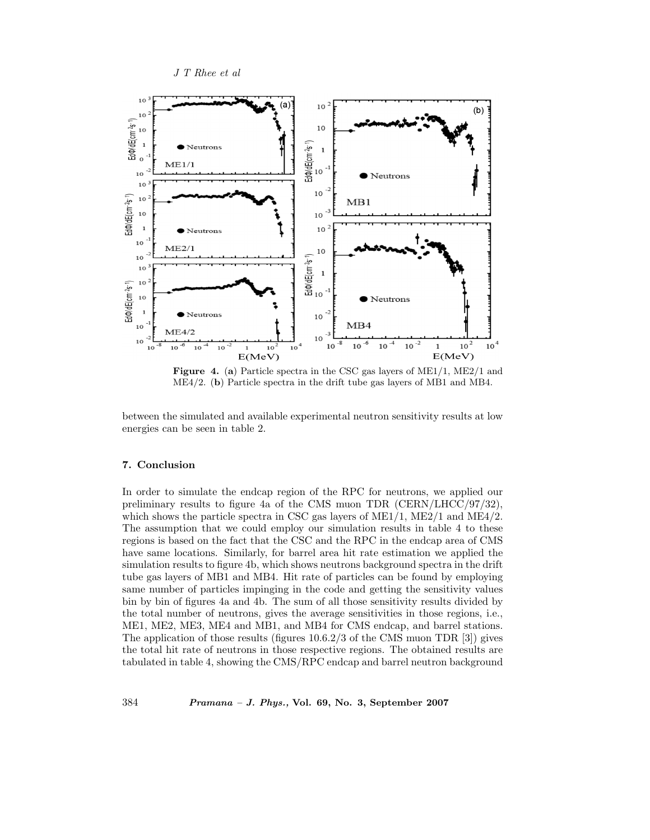

**Figure 4.** (**a**) Particle spectra in the CSC gas layers of ME1/1, ME2/1 and ME4/2. (**b**) Particle spectra in the drift tube gas layers of MB1 and MB4.

between the simulated and available experimental neutron sensitivity results at low energies can be seen in table 2.

## **7. Conclusion**

In order to simulate the endcap region of the RPC for neutrons, we applied our preliminary results to figure 4a of the CMS muon TDR (CERN/LHCC/97/32), which shows the particle spectra in CSC gas layers of  $ME1/1$ ,  $ME2/1$  and  $ME4/2$ . The assumption that we could employ our simulation results in table 4 to these regions is based on the fact that the CSC and the RPC in the endcap area of CMS have same locations. Similarly, for barrel area hit rate estimation we applied the simulation results to figure 4b, which shows neutrons background spectra in the drift tube gas layers of MB1 and MB4. Hit rate of particles can be found by employing same number of particles impinging in the code and getting the sensitivity values bin by bin of figures 4a and 4b. The sum of all those sensitivity results divided by the total number of neutrons, gives the average sensitivities in those regions, i.e., ME1, ME2, ME3, ME4 and MB1, and MB4 for CMS endcap, and barrel stations. The application of those results (figures 10.6.2/3 of the CMS muon TDR [3]) gives the total hit rate of neutrons in those respective regions. The obtained results are tabulated in table 4, showing the CMS/RPC endcap and barrel neutron background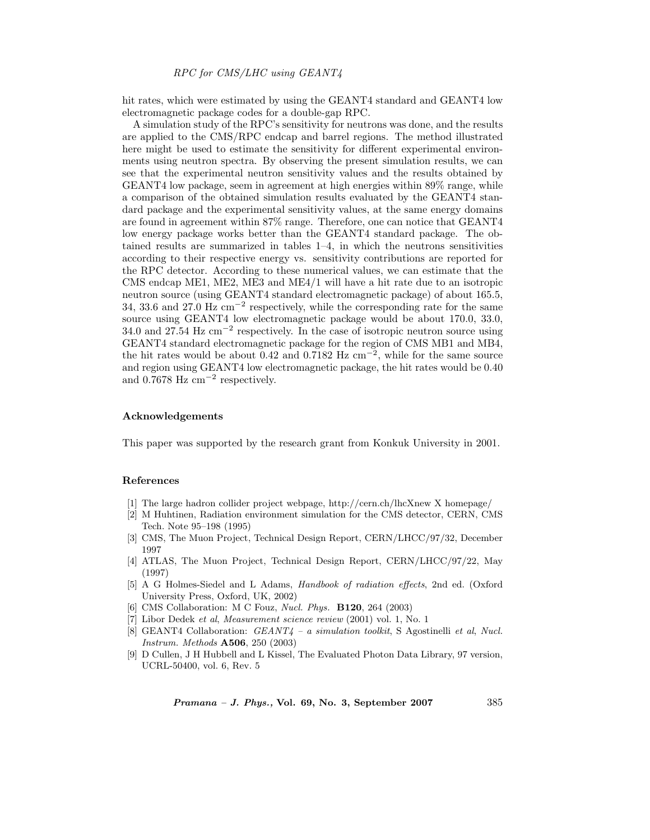hit rates, which were estimated by using the GEANT4 standard and GEANT4 low electromagnetic package codes for a double-gap RPC.

A simulation study of the RPC's sensitivity for neutrons was done, and the results are applied to the CMS/RPC endcap and barrel regions. The method illustrated here might be used to estimate the sensitivity for different experimental environments using neutron spectra. By observing the present simulation results, we can see that the experimental neutron sensitivity values and the results obtained by GEANT4 low package, seem in agreement at high energies within 89% range, while a comparison of the obtained simulation results evaluated by the GEANT4 standard package and the experimental sensitivity values, at the same energy domains are found in agreement within 87% range. Therefore, one can notice that GEANT4 low energy package works better than the GEANT4 standard package. The obtained results are summarized in tables 1–4, in which the neutrons sensitivities according to their respective energy vs. sensitivity contributions are reported for the RPC detector. According to these numerical values, we can estimate that the CMS endcap ME1, ME2, ME3 and ME4/1 will have a hit rate due to an isotropic neutron source (using GEANT4 standard electromagnetic package) of about 165.5, 34, 33.6 and 27.0 Hz cm−<sup>2</sup> respectively, while the corresponding rate for the same source using GEANT4 low electromagnetic package would be about 170.0, 33.0, 34.0 and 27.54 Hz cm−<sup>2</sup> respectively. In the case of isotropic neutron source using GEANT4 standard electromagnetic package for the region of CMS MB1 and MB4, the hit rates would be about 0.42 and 0.7182 Hz cm<sup> $-2$ </sup>, while for the same source and region using GEANT4 low electromagnetic package, the hit rates would be 0.40 and  $0.7678$  Hz cm<sup>-2</sup> respectively.

#### **Acknowledgements**

This paper was supported by the research grant from Konkuk University in 2001.

#### **References**

- [1] The large hadron collider project webpage, http://cern.ch/lhcXnew X homepage/
- [2] M Huhtinen, Radiation environment simulation for the CMS detector, CERN, CMS Tech. Note 95–198 (1995)
- [3] CMS, The Muon Project, Technical Design Report, CERN/LHCC/97/32, December 1997
- [4] ATLAS, The Muon Project, Technical Design Report, CERN/LHCC/97/22, May (1997)
- [5] A G Holmes-Siedel and L Adams, Handbook of radiation effects, 2nd ed. (Oxford University Press, Oxford, UK, 2002)
- [6] CMS Collaboration: M C Fouz, Nucl. Phys. **B120**, 264 (2003)
- [7] Libor Dedek et al, Measurement science review (2001) vol. 1, No. 1
- [8] GEANT4 Collaboration:  $GEANT4 a simulation toolkit$ , S Agostinelli et al, Nucl. Instrum. Methods **A506**, 250 (2003)
- [9] D Cullen, J H Hubbell and L Kissel, The Evaluated Photon Data Library, 97 version, UCRL-50400, vol. 6, Rev. 5